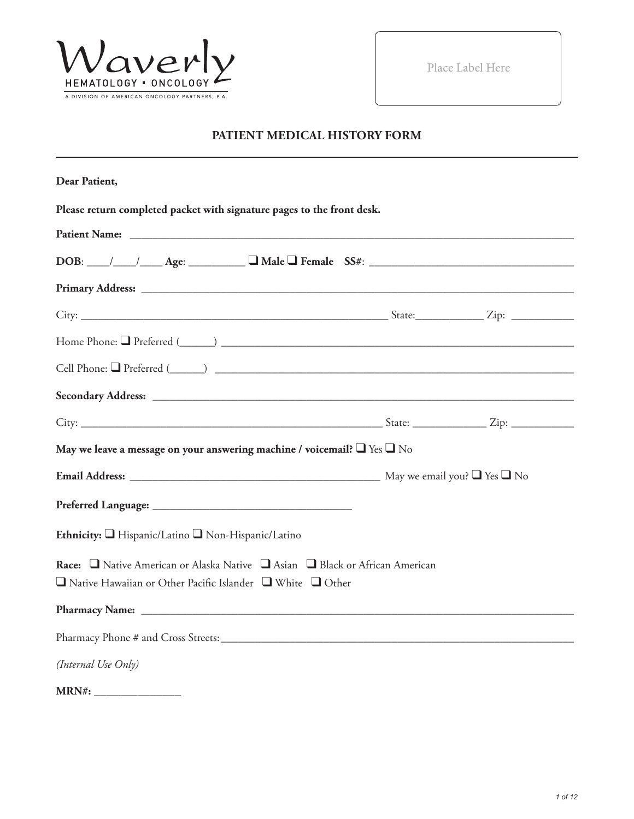

Place Label Here

# **PATIENT MEDICAL HISTORY FORM**

| Dear Patient,                                                                                                                                          |  |
|--------------------------------------------------------------------------------------------------------------------------------------------------------|--|
| Please return completed packet with signature pages to the front desk.                                                                                 |  |
|                                                                                                                                                        |  |
| $DOB:$ $\_\_\_\_\_\_\_\_\_\_\_\_\_\_$ Age: $\_\_\_\_\_\_\_\_\_\_\_\_\_\_\_\_\_\_$ Female $SS#:$ $\_\_\_\_\_\_\_\_\_\_\_\_\_\_\_\_\_\_\_\_\_$           |  |
|                                                                                                                                                        |  |
|                                                                                                                                                        |  |
|                                                                                                                                                        |  |
|                                                                                                                                                        |  |
|                                                                                                                                                        |  |
|                                                                                                                                                        |  |
| May we leave a message on your answering machine / voicemail? $\Box$ Yes $\Box$ No                                                                     |  |
|                                                                                                                                                        |  |
|                                                                                                                                                        |  |
| Ethnicity: Hispanic/Latino Non-Hispanic/Latino                                                                                                         |  |
| Race: Native American or Alaska Native Nasian Nalack or African American<br>$\Box$ Native Hawaiian or Other Pacific Islander $\Box$ White $\Box$ Other |  |
|                                                                                                                                                        |  |
|                                                                                                                                                        |  |
| (Internal Use Only)                                                                                                                                    |  |
| MRN#:                                                                                                                                                  |  |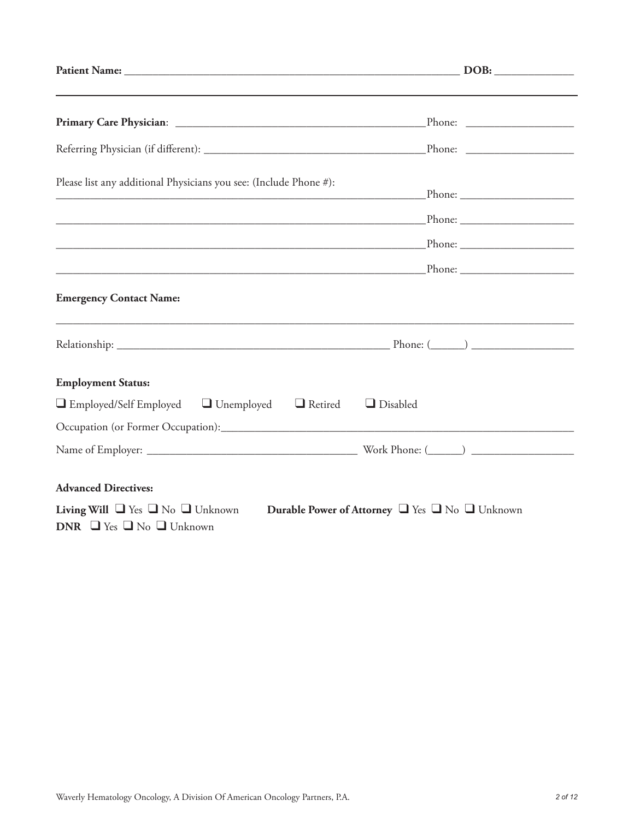| Please list any additional Physicians you see: (Include Phone #):                                                                                 |  |
|---------------------------------------------------------------------------------------------------------------------------------------------------|--|
|                                                                                                                                                   |  |
|                                                                                                                                                   |  |
|                                                                                                                                                   |  |
| <b>Emergency Contact Name:</b>                                                                                                                    |  |
|                                                                                                                                                   |  |
| <b>Employment Status:</b>                                                                                                                         |  |
| $\Box$ Employed/Self Employed $\Box$ Unemployed $\Box$ Retired<br>$\Box$ Disabled                                                                 |  |
|                                                                                                                                                   |  |
|                                                                                                                                                   |  |
| <b>Advanced Directives:</b>                                                                                                                       |  |
| <b>Living Will</b> $\Box$ Yes $\Box$ No $\Box$ Unknown<br>Durable Power of Attorney U Yes U No Unknown<br>DNR $\Box$ Yes $\Box$ No $\Box$ Unknown |  |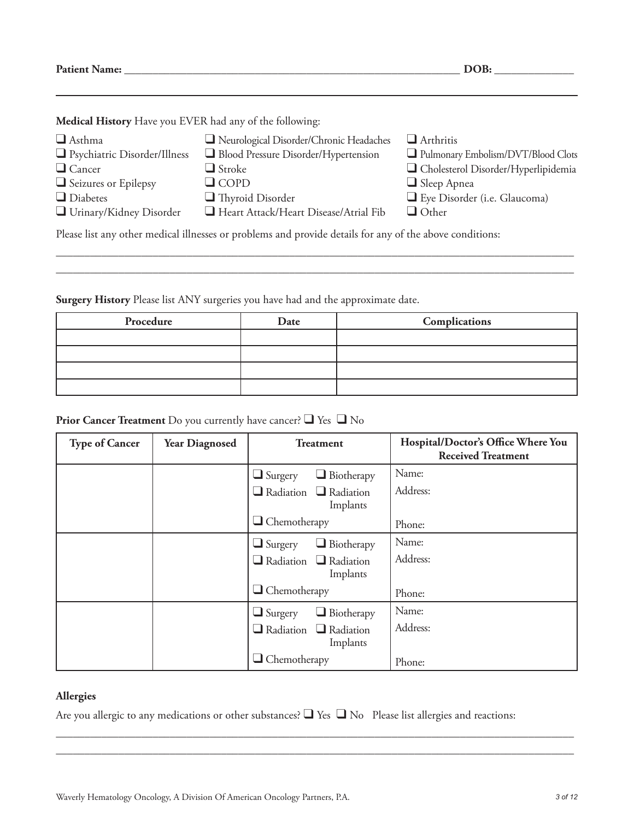**Patient Name: \_\_\_\_\_\_\_\_\_\_\_\_\_\_\_\_\_\_\_\_\_\_\_\_\_\_\_\_\_\_\_\_\_\_\_\_\_\_\_\_\_\_\_\_\_\_\_\_\_\_\_\_\_\_\_\_\_\_\_ DOB: \_\_\_\_\_\_\_\_\_\_\_\_\_\_**

**Medical History** Have you EVER had any of the following:

| $\Box$ Asthma<br>$\Box$ Psychiatric Disorder/Illness<br>$\Box$ Cancer<br>$\Box$ Seizures or Epilepsy                                                                  | Neurological Disorder/Chronic Headaches<br>Blood Pressure Disorder/Hypertension<br>$\Box$ Stroke<br>$\Box$ COPD | $\Box$ Arthritis<br>Pulmonary Embolism/DVT/Blood Clots<br>□ Cholesterol Disorder/Hyperlipidemia<br>$\Box$ Sleep Apnea |  |
|-----------------------------------------------------------------------------------------------------------------------------------------------------------------------|-----------------------------------------------------------------------------------------------------------------|-----------------------------------------------------------------------------------------------------------------------|--|
| $\Box$ Diabetes<br>$\Box$ Thyroid Disorder<br>Eye Disorder (i.e. Glaucoma)<br>Heart Attack/Heart Disease/Atrial Fib<br>$\Box$ Urinary/Kidney Disorder<br>$\Box$ Other |                                                                                                                 |                                                                                                                       |  |
| Please list any other medical illnesses or problems and provide details for any of the above conditions:                                                              |                                                                                                                 |                                                                                                                       |  |

\_\_\_\_\_\_\_\_\_\_\_\_\_\_\_\_\_\_\_\_\_\_\_\_\_\_\_\_\_\_\_\_\_\_\_\_\_\_\_\_\_\_\_\_\_\_\_\_\_\_\_\_\_\_\_\_\_\_\_\_\_\_\_\_\_\_\_\_\_\_\_\_\_\_\_\_\_\_\_\_\_\_\_\_\_\_\_\_\_\_\_ \_\_\_\_\_\_\_\_\_\_\_\_\_\_\_\_\_\_\_\_\_\_\_\_\_\_\_\_\_\_\_\_\_\_\_\_\_\_\_\_\_\_\_\_\_\_\_\_\_\_\_\_\_\_\_\_\_\_\_\_\_\_\_\_\_\_\_\_\_\_\_\_\_\_\_\_\_\_\_\_\_\_\_\_\_\_\_\_\_\_\_

**Surgery History** Please list ANY surgeries you have had and the approximate date.

| Procedure | Date | Complications |
|-----------|------|---------------|
|           |      |               |
|           |      |               |
|           |      |               |
|           |      |               |

# **Prior Cancer Treatment** Do you currently have cancer? ❑ Yes ❑ No

| <b>Type of Cancer</b> | <b>Year Diagnosed</b> | <b>Treatment</b>                              | Hospital/Doctor's Office Where You<br><b>Received Treatment</b> |
|-----------------------|-----------------------|-----------------------------------------------|-----------------------------------------------------------------|
|                       |                       | $\Box$ Biotherapy<br>$\Box$ Surgery           | Name:                                                           |
|                       |                       | $\Box$ Radiation $\Box$ Radiation<br>Implants | Address:                                                        |
|                       |                       | $\Box$ Chemotherapy                           | Phone:                                                          |
|                       |                       | $\Box$ Biotherapy<br>$\Box$ Surgery           | Name:                                                           |
|                       |                       | $\Box$ Radiation $\Box$ Radiation<br>Implants | Address:                                                        |
|                       |                       | $\Box$ Chemotherapy                           | Phone:                                                          |
|                       |                       | $\Box$ Biotherapy<br>$\Box$ Surgery           | Name:                                                           |
|                       |                       | $\Box$ Radiation $\Box$ Radiation<br>Implants | Address:                                                        |
|                       |                       | $\Box$ Chemotherapy                           | Phone:                                                          |

#### **Allergies**

Are you allergic to any medications or other substances? ❑ Yes ❑ No Please list allergies and reactions:

\_\_\_\_\_\_\_\_\_\_\_\_\_\_\_\_\_\_\_\_\_\_\_\_\_\_\_\_\_\_\_\_\_\_\_\_\_\_\_\_\_\_\_\_\_\_\_\_\_\_\_\_\_\_\_\_\_\_\_\_\_\_\_\_\_\_\_\_\_\_\_\_\_\_\_\_\_\_\_\_\_\_\_\_\_\_\_\_\_\_\_ \_\_\_\_\_\_\_\_\_\_\_\_\_\_\_\_\_\_\_\_\_\_\_\_\_\_\_\_\_\_\_\_\_\_\_\_\_\_\_\_\_\_\_\_\_\_\_\_\_\_\_\_\_\_\_\_\_\_\_\_\_\_\_\_\_\_\_\_\_\_\_\_\_\_\_\_\_\_\_\_\_\_\_\_\_\_\_\_\_\_\_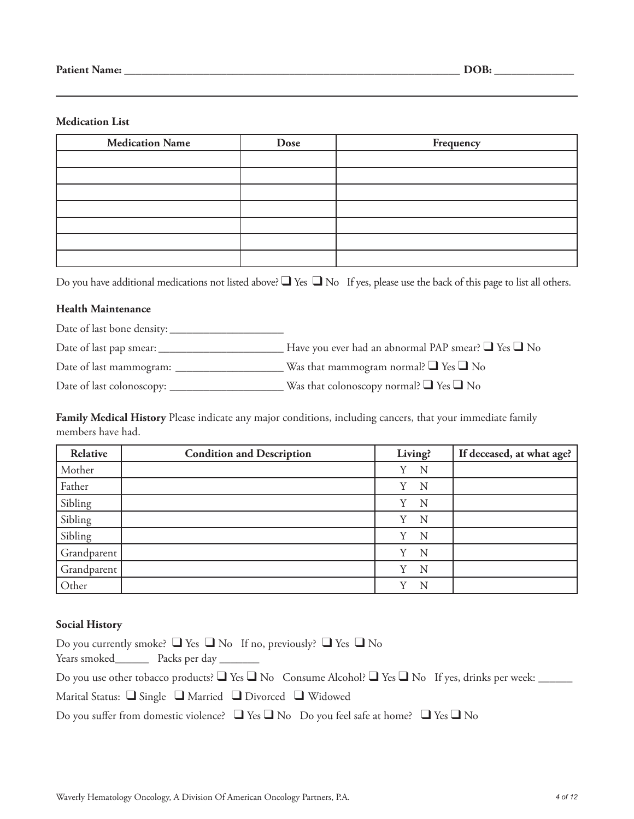#### **Medication List**

| <b>Medication Name</b> | Dose | Frequency |
|------------------------|------|-----------|
|                        |      |           |
|                        |      |           |
|                        |      |           |
|                        |      |           |
|                        |      |           |
|                        |      |           |
|                        |      |           |

Do you have additional medications not listed above?  $\Box$  Yes  $\Box$  No If yes, please use the back of this page to list all others.

#### **Health Maintenance**

Date of last bone density: \_\_\_\_\_\_\_\_\_\_\_\_\_\_\_\_\_\_\_\_

Date of last pap smear: \_\_\_\_\_\_\_\_\_\_\_\_\_\_\_\_\_\_\_\_\_\_ Have you ever had an abnormal PAP smear? ❑ Yes ❑ No

Date of last mammogram: \_\_\_\_\_\_\_\_\_\_\_\_\_\_\_\_\_\_\_ Was that mammogram normal? ❑ Yes ❑ No

Date of last colonoscopy: \_\_\_\_\_\_\_\_\_\_\_\_\_\_\_\_\_\_\_\_ Was that colonoscopy normal? ❑ Yes ❑ No

**Family Medical History** Please indicate any major conditions, including cancers, that your immediate family members have had.

| Relative    | <b>Condition and Description</b> | Living?       | If deceased, at what age? |
|-------------|----------------------------------|---------------|---------------------------|
| Mother      |                                  | Y<br>N        |                           |
| Father      |                                  | Y<br>N        |                           |
| Sibling     |                                  | Y<br>N        |                           |
| Sibling     |                                  | Y<br>N        |                           |
| Sibling     |                                  | Y<br>N        |                           |
| Grandparent |                                  | N<br>Y        |                           |
| Grandparent |                                  | N<br>V        |                           |
| Other       |                                  | $\rm _V$<br>N |                           |

#### **Social History**

| Do you currently smoke? $\Box$ Yes $\Box$ No If no, previously? $\Box$ Yes $\Box$ No                                   |
|------------------------------------------------------------------------------------------------------------------------|
| Years smoked__________ Packs per day _________                                                                         |
| Do you use other tobacco products? $\Box$ Yes $\Box$ No Consume Alcohol? $\Box$ Yes $\Box$ No If yes, drinks per week: |
| Marital Status: $\Box$ Single $\Box$ Married $\Box$ Divorced $\Box$ Widowed                                            |
| Do you suffer from domestic violence? $\Box$ Yes $\Box$ No Do you feel safe at home? $\Box$ Yes $\Box$ No              |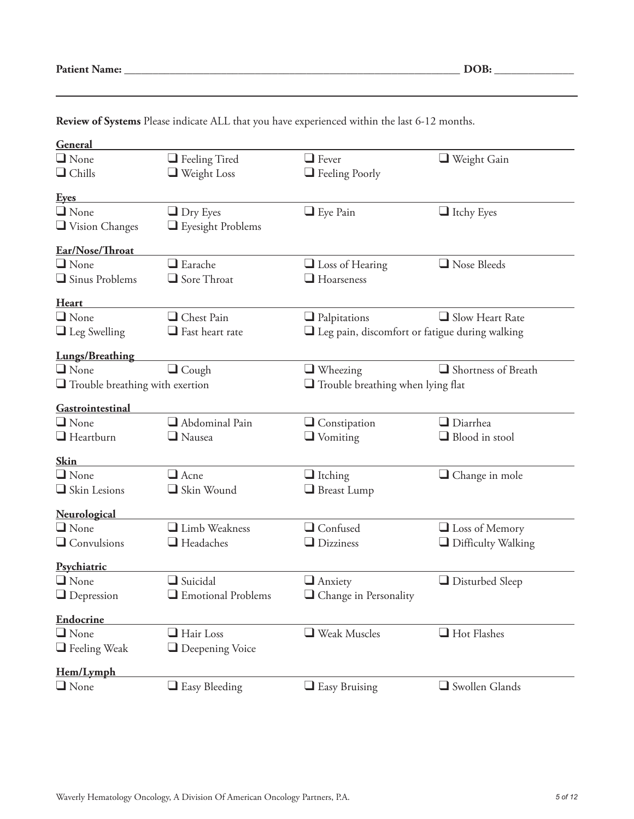| <b>Patient Name:</b> |  |
|----------------------|--|
|----------------------|--|

| General<br>$\Box$ None                                                             |                                            | $\Box$ Fever                                          |                           |
|------------------------------------------------------------------------------------|--------------------------------------------|-------------------------------------------------------|---------------------------|
|                                                                                    | $\Box$ Feeling Tired                       |                                                       | $\Box$ Weight Gain        |
| $\Box$ Chills                                                                      | $\Box$ Weight Loss                         | Feeling Poorly                                        |                           |
| <u>Eyes</u>                                                                        |                                            |                                                       |                           |
| $\Box$ None                                                                        | $\Box$ Dry Eyes                            | $\Box$ Eye Pain                                       | $\Box$ Itchy Eyes         |
| $\Box$ Vision Changes                                                              | Eyesight Problems                          |                                                       |                           |
| Ear/Nose/Throat                                                                    |                                            |                                                       |                           |
| $\Box$ None                                                                        | $\Box$ Earache                             | $\Box$ Loss of Hearing                                | $\Box$ Nose Bleeds        |
| Sinus Problems                                                                     | Sore Throat                                | $\Box$ Hoarseness                                     |                           |
|                                                                                    |                                            |                                                       |                           |
| <b>Heart</b>                                                                       |                                            |                                                       |                           |
| $\Box$ None                                                                        | Chest Pain                                 | $\Box$ Palpitations                                   | $\Box$ Slow Heart Rate    |
| $\Box$ Leg Swelling                                                                | $\Box$ Fast heart rate                     | $\Box$ Leg pain, discomfort or fatigue during walking |                           |
| <b>Lungs/Breathing</b>                                                             |                                            |                                                       |                           |
| $\Box$ None                                                                        | $\Box$ Cough                               | $\Box$ Wheezing                                       | Shortness of Breath       |
| $\Box$ Trouble breathing with exertion<br>$\Box$ Trouble breathing when lying flat |                                            |                                                       |                           |
|                                                                                    |                                            |                                                       |                           |
| Gastrointestinal                                                                   |                                            |                                                       |                           |
| $\Box$ None                                                                        | Abdominal Pain                             | $\Box$ Constipation                                   | $\Box$ Diarrhea           |
| $\Box$ Heartburn                                                                   | $\Box$ Nausea                              | $\Box$ Vomiting                                       | $\Box$ Blood in stool     |
| <b>Skin</b>                                                                        |                                            |                                                       |                           |
| $\Box$ None                                                                        | $\Box$ Acne                                | $\Box$ Itching                                        | $\Box$ Change in mole     |
| Skin Lesions                                                                       | Skin Wound                                 | $\Box$ Breast Lump                                    |                           |
|                                                                                    |                                            |                                                       |                           |
| Neurological<br>$\Box$ None                                                        | Limb Weakness                              | $\Box$ Confused                                       |                           |
|                                                                                    |                                            |                                                       | $\Box$ Loss of Memory     |
| $\Box$ Convulsions                                                                 | $\Box$ Headaches                           | $\Box$ Dizziness                                      | $\Box$ Difficulty Walking |
| Psychiatric                                                                        |                                            |                                                       |                           |
| $\Box$ None                                                                        | $\Box$ Suicidal                            | $\Box$ Anxiety                                        | $\Box$ Disturbed Sleep    |
| $\Box$ Depression                                                                  | $\hfill\blacksquare$<br>Emotional Problems | $\hfill\Box$<br>Change in Personality                 |                           |
|                                                                                    |                                            |                                                       |                           |
| <b>Endocrine</b><br>$\Box$ None                                                    | $\Box$ Hair Loss                           | $\Box$ Weak Muscles                                   | $\Box$ Hot Flashes        |
| $\Box$ Feeling Weak                                                                | $\Box$ Deepening Voice                     |                                                       |                           |
|                                                                                    |                                            |                                                       |                           |
| Hem/Lymph                                                                          |                                            |                                                       |                           |
| $\Box$ None                                                                        | $\Box$ Easy Bleeding                       | $\Box$ Easy Bruising                                  | Swollen Glands            |

**Review of Systems** Please indicate ALL that you have experienced within the last 6-12 months.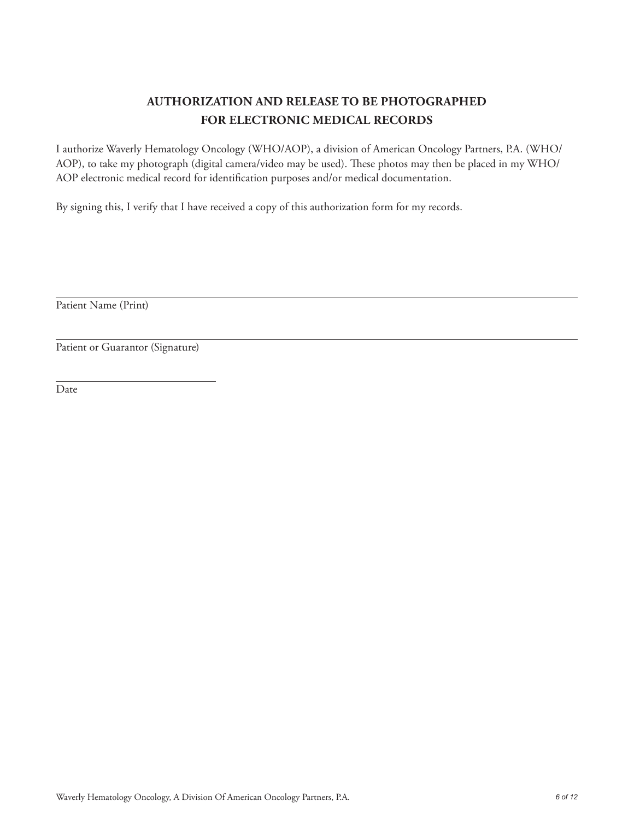# **AUTHORIZATION AND RELEASE TO BE PHOTOGRAPHED FOR ELECTRONIC MEDICAL RECORDS**

I authorize Waverly Hematology Oncology (WHO/AOP), a division of American Oncology Partners, P.A. (WHO/ AOP), to take my photograph (digital camera/video may be used). These photos may then be placed in my WHO/ AOP electronic medical record for identification purposes and/or medical documentation.

By signing this, I verify that I have received a copy of this authorization form for my records.

Patient Name (Print)

Patient or Guarantor (Signature)

Date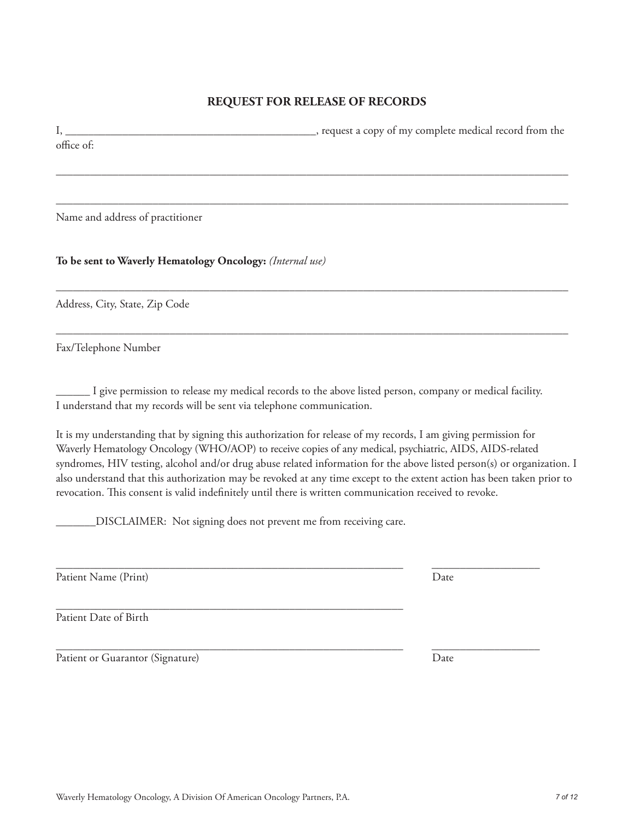# **REQUEST FOR RELEASE OF RECORDS**

I, \_\_\_\_\_\_\_\_\_\_\_\_\_\_\_\_\_\_\_\_\_\_\_\_\_\_\_\_\_\_\_\_\_\_\_\_\_\_\_\_\_\_\_\_, request a copy of my complete medical record from the office of:

––––––––––––––––––––––––––––––––––––––––––––––––––––––––––––––––––––––––––––––––––––––––––

––––––––––––––––––––––––––––––––––––––––––––––––––––––––––––––––––––––––––––––––––––––––––

––––––––––––––––––––––––––––––––––––––––––––––––––––––––––––––––––––––––––––––––––––––––––

––––––––––––––––––––––––––––––––––––––––––––––––––––––––––––––––––––––––––––––––––––––––––

Name and address of practitioner

**To be sent to Waverly Hematology Oncology:** *(Internal use)*

Address, City, State, Zip Code

Fax/Telephone Number

\_\_\_\_\_\_ I give permission to release my medical records to the above listed person, company or medical facility. I understand that my records will be sent via telephone communication.

\_\_\_\_\_\_\_\_\_\_\_\_\_\_\_\_\_\_\_\_\_\_\_\_\_\_\_\_\_\_\_\_\_\_\_\_\_\_\_\_\_\_\_\_\_\_\_\_\_\_\_\_\_\_\_\_\_\_\_\_\_ \_\_\_\_\_\_\_\_\_\_\_\_\_\_\_\_\_\_\_

It is my understanding that by signing this authorization for release of my records, I am giving permission for Waverly Hematology Oncology (WHO/AOP) to receive copies of any medical, psychiatric, AIDS, AIDS-related syndromes, HIV testing, alcohol and/or drug abuse related information for the above listed person(s) or organization. I also understand that this authorization may be revoked at any time except to the extent action has been taken prior to revocation. This consent is valid indefinitely until there is written communication received to revoke.

\_\_\_\_\_\_\_DISCLAIMER: Not signing does not prevent me from receiving care.

Patient Name (Print) Date

\_\_\_\_\_\_\_\_\_\_\_\_\_\_\_\_\_\_\_\_\_\_\_\_\_\_\_\_\_\_\_\_\_\_\_\_\_\_\_\_\_\_\_\_\_\_\_\_\_\_\_\_\_\_\_\_\_\_\_\_\_ Patient Date of Birth

Patient or Guarantor (Signature) Date

\_\_\_\_\_\_\_\_\_\_\_\_\_\_\_\_\_\_\_\_\_\_\_\_\_\_\_\_\_\_\_\_\_\_\_\_\_\_\_\_\_\_\_\_\_\_\_\_\_\_\_\_\_\_\_\_\_\_\_\_\_ \_\_\_\_\_\_\_\_\_\_\_\_\_\_\_\_\_\_\_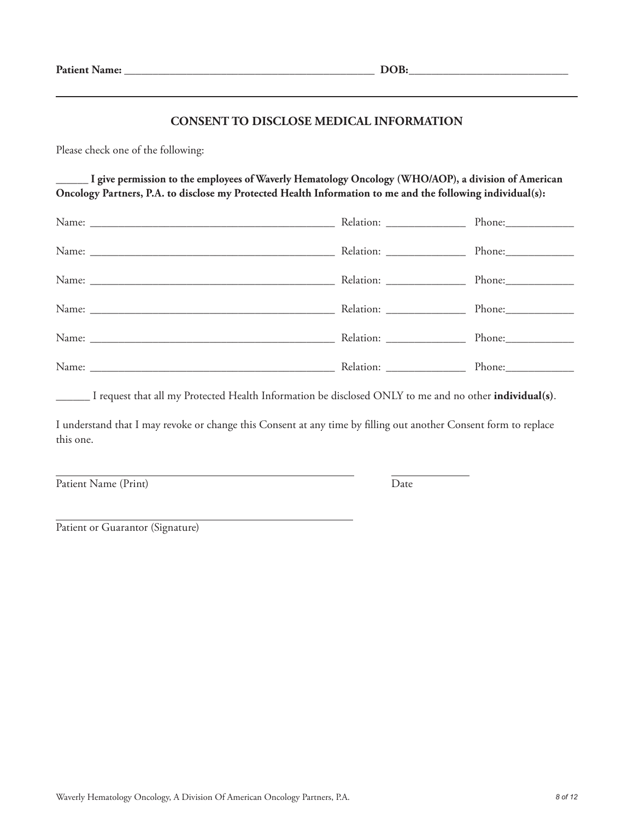#### **CONSENT TO DISCLOSE MEDICAL INFORMATION**

Please check one of the following:

**\_\_\_\_\_\_ I give permission to the employees of Waverly Hematology Oncology (WHO/AOP), a division of American Oncology Partners, P.A. to disclose my Protected Health Information to me and the following individual(s):**

| Relation: ________________ |  |
|----------------------------|--|
|                            |  |

\_\_\_\_\_\_ I request that all my Protected Health Information be disclosed ONLY to me and no other **individual(s)**.

I understand that I may revoke or change this Consent at any time by filling out another Consent form to replace this one.

Patient Name (Print) Date

Patient or Guarantor (Signature)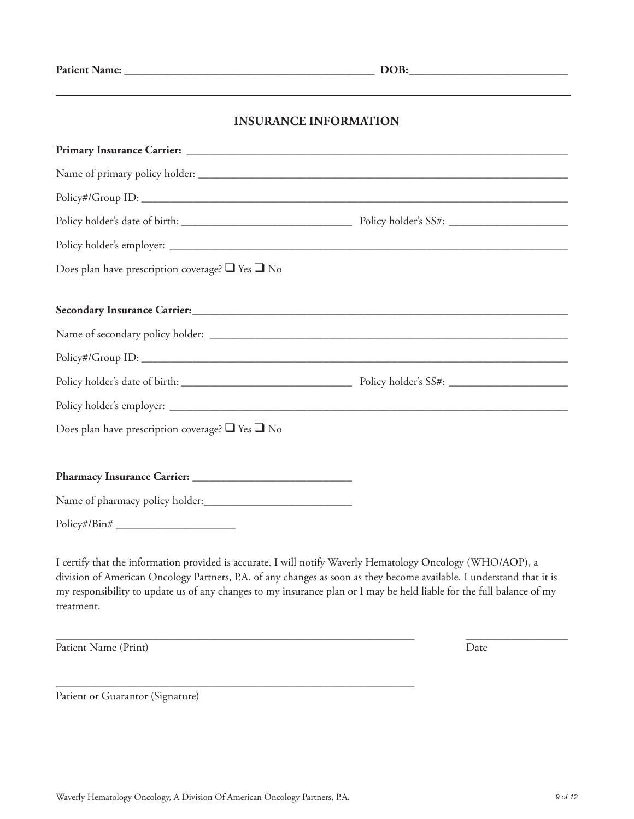# **INSURANCE INFORMATION**

| Does plan have prescription coverage? $\Box$ Yes $\Box$ No       |  |
|------------------------------------------------------------------|--|
|                                                                  |  |
| Secondary Insurance Carrier: New York Carrier: New York Carrier: |  |
|                                                                  |  |
|                                                                  |  |
|                                                                  |  |
|                                                                  |  |
| Does plan have prescription coverage? $\Box$ Yes $\Box$ No       |  |
|                                                                  |  |
|                                                                  |  |
|                                                                  |  |
| $Policy\#/Bin\#$                                                 |  |

I certify that the information provided is accurate. I will notify Waverly Hematology Oncology (WHO/AOP), a division of American Oncology Partners, P.A. of any changes as soon as they become available. I understand that it is my responsibility to update us of any changes to my insurance plan or I may be held liable for the full balance of my treatment.

\_\_\_\_\_\_\_\_\_\_\_\_\_\_\_\_\_\_\_\_\_\_\_\_\_\_\_\_\_\_\_\_\_\_\_\_\_\_\_\_\_\_\_\_\_\_\_\_\_\_\_\_\_\_\_\_\_\_\_\_\_\_\_ \_\_\_\_\_\_\_\_\_\_\_\_\_\_\_\_\_\_

Patient Name (Print) Date

Patient or Guarantor (Signature)

\_\_\_\_\_\_\_\_\_\_\_\_\_\_\_\_\_\_\_\_\_\_\_\_\_\_\_\_\_\_\_\_\_\_\_\_\_\_\_\_\_\_\_\_\_\_\_\_\_\_\_\_\_\_\_\_\_\_\_\_\_\_\_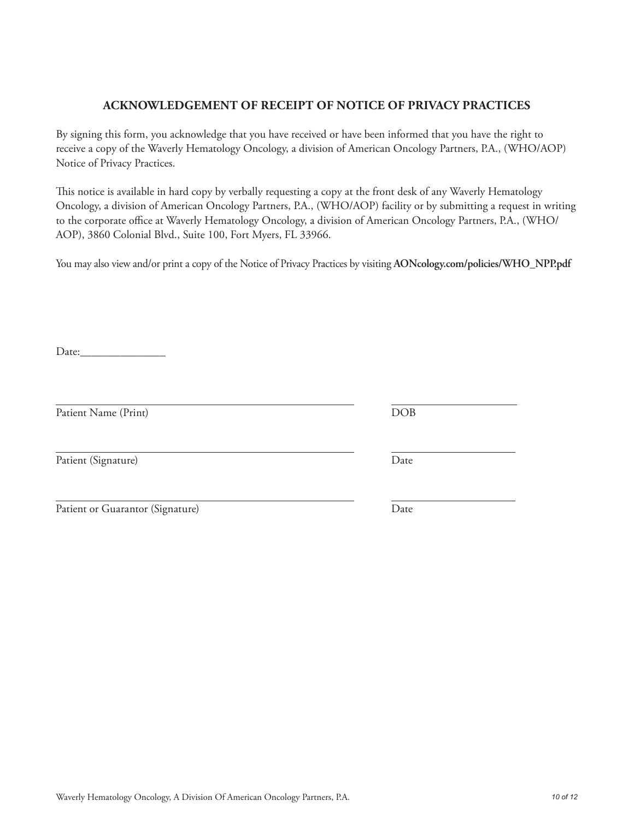# Waverly Hematology Oncology, A Division Of American Oncology Partners, P.A. *10 of 12*

# **ACKNOWLEDGEMENT OF RECEIPT OF NOTICE OF PRIVACY PRACTICES**

By signing this form, you acknowledge that you have received or have been informed that you have the right to receive a copy of the Waverly Hematology Oncology, a division of American Oncology Partners, P.A., (WHO/AOP) Notice of Privacy Practices.

This notice is available in hard copy by verbally requesting a copy at the front desk of any Waverly Hematology Oncology, a division of American Oncology Partners, P.A., (WHO/AOP) facility or by submitting a request in writing to the corporate office at Waverly Hematology Oncology, a division of American Oncology Partners, P.A., (WHO/ AOP), 3860 Colonial Blvd., Suite 100, Fort Myers, FL 33966.

You may also view and/or print a copy of the Notice of Privacy Practices by visiting **AONcology.com/policies/WHO\_NPP.pdf**

Date:

Patient Name (Print) DOB

Patient (Signature) Date

| Patient or Guarantor (Signature) | Date |  |
|----------------------------------|------|--|
|                                  |      |  |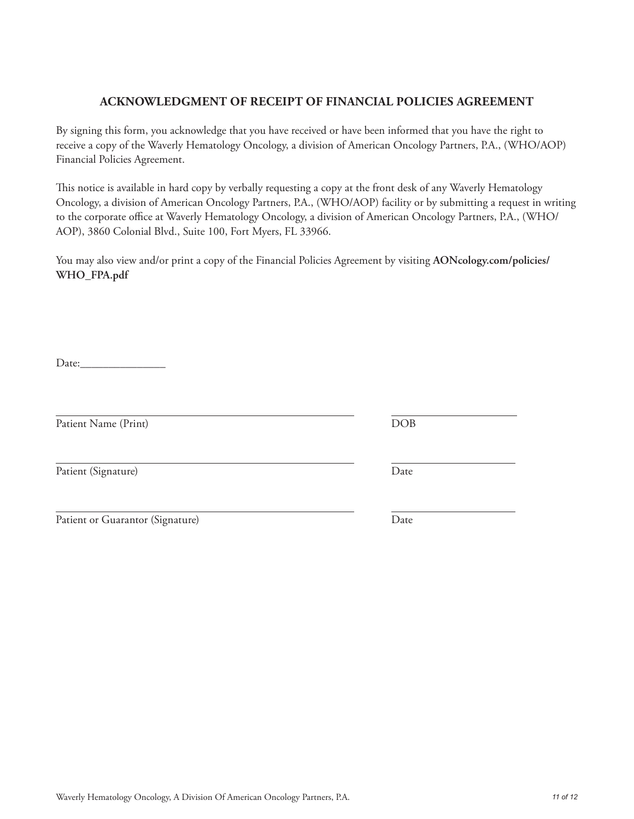# Waverly Hematology Oncology, A Division Of American Oncology Partners, P.A. *11 of 12*

## **ACKNOWLEDGMENT OF RECEIPT OF FINANCIAL POLICIES AGREEMENT**

By signing this form, you acknowledge that you have received or have been informed that you have the right to receive a copy of the Waverly Hematology Oncology, a division of American Oncology Partners, P.A., (WHO/AOP) Financial Policies Agreement.

This notice is available in hard copy by verbally requesting a copy at the front desk of any Waverly Hematology Oncology, a division of American Oncology Partners, P.A., (WHO/AOP) facility or by submitting a request in writing to the corporate office at Waverly Hematology Oncology, a division of American Oncology Partners, P.A., (WHO/ AOP), 3860 Colonial Blvd., Suite 100, Fort Myers, FL 33966.

You may also view and/or print a copy of the Financial Policies Agreement by visiting **AONcology.com/policies/ WHO\_FPA.pdf**

Date:\_\_\_\_\_\_\_\_\_\_\_\_\_\_\_

Patient Name (Print) DOB

Patient (Signature) Date

Patient or Guarantor (Signature) Date